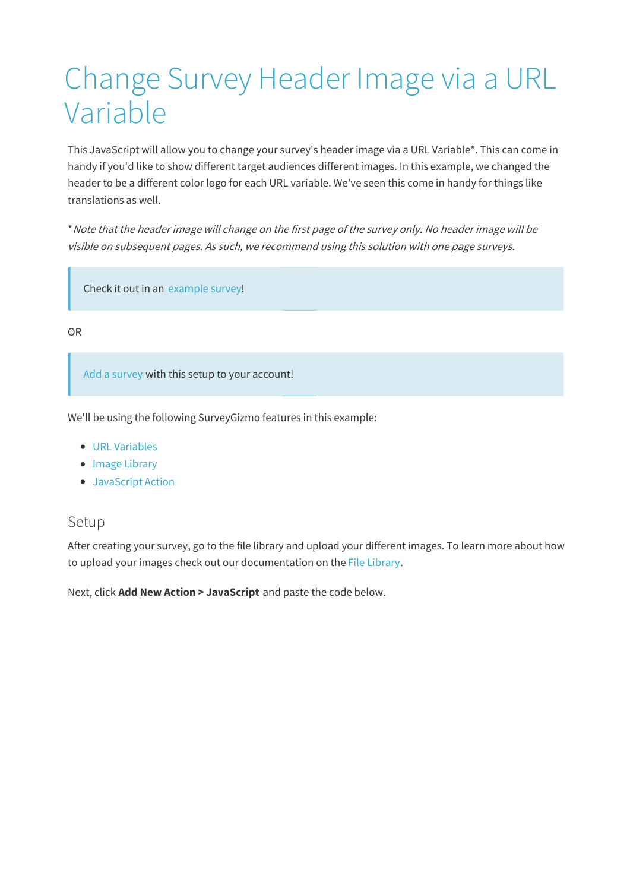# Change Survey Header Image via a URL Variable

This JavaScript will allow you to change your survey's header image via a URL Variable\*. This can come in handy if you'd like to show different target audiences different images. In this example, we changed the header to be a different color logo for each URL variable. We've seen this come in handy for things like translations as well.

\*Note that the header image will change on the first page of the survey only. No header image will be visible on subsequent pages. As such, we recommend using this solution with one page surveys.

Check it out in an example survey!

OR

Add a survey with this setup to your account!

We'll be using the following SurveyGizmo features in this example:

- URL Variables
- Image Library
- JavaScript Action

#### Setup

After creating your survey, go to the file library and upload your different images. To learn more about how to upload your images check out our documentation on the File Library.

Next, click **Add New Action > JavaScript** and paste the code below.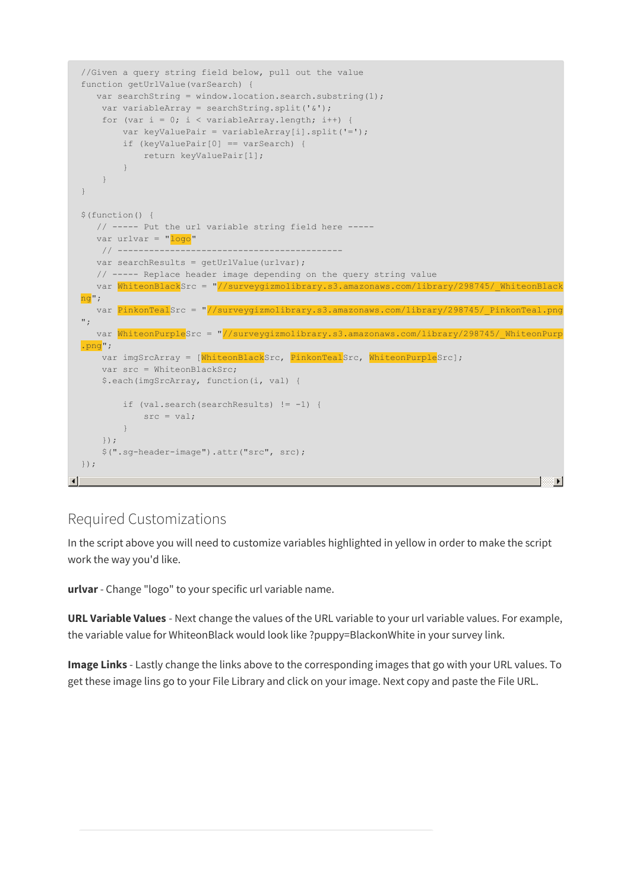```
//Given a query string field below, pull out the value
 function getUrlValue(varSearch) {
    var searchString = window.location.search.substring(1);
     var variableArray = searchString.split('&');
     for (var i = 0; i < variableArray.length; i++) {
         var keyValuePair = variableArray[i].split('=');
         if (keyValuePair[0] == varSearch) {
             return keyValuePair[1];
         }
     }
 }
 $(function() {
    // ----- Put the url variable string field here -----
    var urlvar = "<mark>logo</mark>"
      // -------------------------------------------
    var searchResults = getUrlValue(urlvar);
    // ----- Replace header image depending on the query string value
    var WhiteonBlackSrc = "//surveygizmolibrary.s3.amazonaws.com/library/298745/_WhiteonBlack
 ng";
    var PinkonTealSrc = "//surveygizmolibrary.s3.amazonaws.com/library/298745/ PinkonTeal.png
 ^{\prime\prime} ;
    var WhiteonPurpleSrc = "//surveygizmolibrary.s3.amazonaws.com/library/298745/ WhiteonPurp
 .png";
     var imgSrcArray = [WhiteonBlackSrc, PinkonTealSrc, WhiteonPurpleSrc];
     var src = WhiteonBlackSrc;
     $.each(imgSrcArray, function(i, val) {
          if (val.search(searchResults) != -1) {
             src = val:}
     });
     $(".sg-header-image").attr("src", src);
 });
\left| \cdot \right|\blacksquare
```
### Required Customizations

In the script above you will need to customize variables highlighted in yellow in order to make the script work the way you'd like.

**urlvar**- Change "logo" to your specific url variable name.

**URL Variable Values** - Next change the values of the URL variable to your url variable values. For example, the variable value for WhiteonBlack would look like ?puppy=BlackonWhite in your survey link.

**Image Links** - Lastly change the links above to the corresponding images that go with your URL values. To get these image lins go to your File Library and click on your image. Next copy and paste the File URL.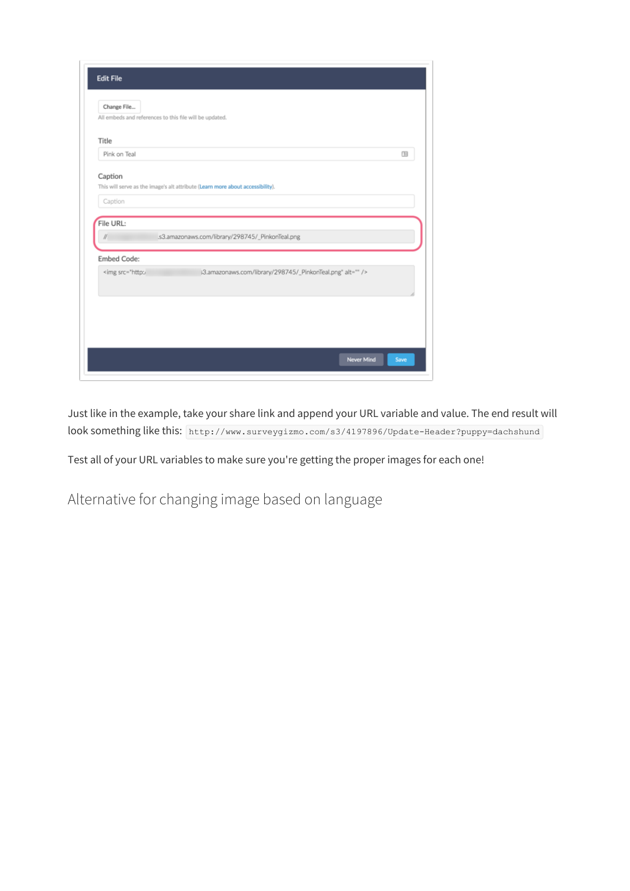| <b>Edit File</b>                                                                               |                                                                                |  |
|------------------------------------------------------------------------------------------------|--------------------------------------------------------------------------------|--|
| Change File<br>All embeds and references to this file will be updated.                         |                                                                                |  |
|                                                                                                |                                                                                |  |
| Title                                                                                          |                                                                                |  |
| Pink on Teal                                                                                   | 囤                                                                              |  |
| Caption                                                                                        |                                                                                |  |
|                                                                                                | This will serve as the image's alt attribute (Learn more about accessibility). |  |
| Caption                                                                                        |                                                                                |  |
|                                                                                                |                                                                                |  |
| File URL:                                                                                      |                                                                                |  |
| II.                                                                                            | .s3.amazonaws.com/library/298745/_PinkonTeal.png                               |  |
| <b>Embed Code:</b>                                                                             |                                                                                |  |
| <img alt="" src="http:/&lt;/td&gt;&lt;td&gt;s3.amazonaws.com/library/298745/_PinkonTeal.png"/> |                                                                                |  |
|                                                                                                |                                                                                |  |
|                                                                                                |                                                                                |  |
|                                                                                                |                                                                                |  |
|                                                                                                |                                                                                |  |
|                                                                                                |                                                                                |  |
|                                                                                                | Never Mind<br>Save                                                             |  |
|                                                                                                |                                                                                |  |

Just like in the example, take your share link and append your URL variable and value. The end result will look something like this: http://www.surveygizmo.com/s3/4197896/Update-Header?puppy=dachshund

Test all of your URL variables to make sure you're getting the proper images for each one!

Alternative for changing image based on language